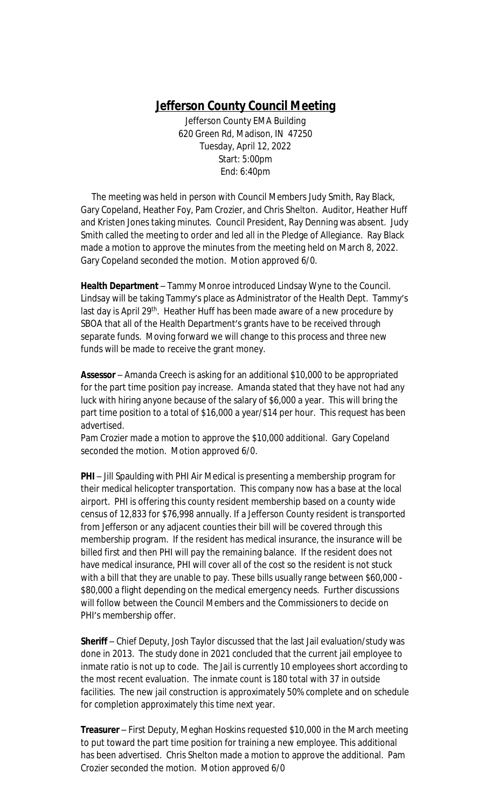## **Jefferson County Council Meeting**

Jefferson County EMA Building 620 Green Rd, Madison, IN 47250 Tuesday, April 12, 2022 Start: 5:00pm End: 6:40pm

 The meeting was held in person with Council Members Judy Smith, Ray Black, Gary Copeland, Heather Foy, Pam Crozier, and Chris Shelton. Auditor, Heather Huff and Kristen Jones taking minutes. Council President, Ray Denning was absent. Judy Smith called the meeting to order and led all in the Pledge of Allegiance. Ray Black made a motion to approve the minutes from the meeting held on March 8, 2022. Gary Copeland seconded the motion. Motion approved 6/0.

**Health Department** – Tammy Monroe introduced Lindsay Wyne to the Council. Lindsay will be taking Tammy's place as Administrator of the Health Dept. Tammy's last day is April 29<sup>th</sup>. Heather Huff has been made aware of a new procedure by SBOA that all of the Health Department's grants have to be received through separate funds. Moving forward we will change to this process and three new funds will be made to receive the grant money.

**Assessor** – Amanda Creech is asking for an additional \$10,000 to be appropriated for the part time position pay increase. Amanda stated that they have not had any luck with hiring anyone because of the salary of \$6,000 a year. This will bring the part time position to a total of \$16,000 a year/\$14 per hour. This request has been advertised.

Pam Crozier made a motion to approve the \$10,000 additional. Gary Copeland seconded the motion. Motion approved 6/0.

**PHI** – Jill Spaulding with PHI Air Medical is presenting a membership program for their medical helicopter transportation. This company now has a base at the local airport. PHI is offering this county resident membership based on a county wide census of 12,833 for \$76,998 annually. If a Jefferson County resident is transported from Jefferson or any adjacent counties their bill will be covered through this membership program. If the resident has medical insurance, the insurance will be billed first and then PHI will pay the remaining balance. If the resident does not have medical insurance, PHI will cover all of the cost so the resident is not stuck with a bill that they are unable to pay. These bills usually range between \$60,000 - \$80,000 a flight depending on the medical emergency needs. Further discussions will follow between the Council Members and the Commissioners to decide on PHI's membership offer.

**Sheriff** – Chief Deputy, Josh Taylor discussed that the last Jail evaluation/study was done in 2013. The study done in 2021 concluded that the current jail employee to inmate ratio is not up to code. The Jail is currently 10 employees short according to the most recent evaluation. The inmate count is 180 total with 37 in outside facilities. The new jail construction is approximately 50% complete and on schedule for completion approximately this time next year.

**Treasurer** – First Deputy, Meghan Hoskins requested \$10,000 in the March meeting to put toward the part time position for training a new employee. This additional has been advertised. Chris Shelton made a motion to approve the additional. Pam Crozier seconded the motion. Motion approved 6/0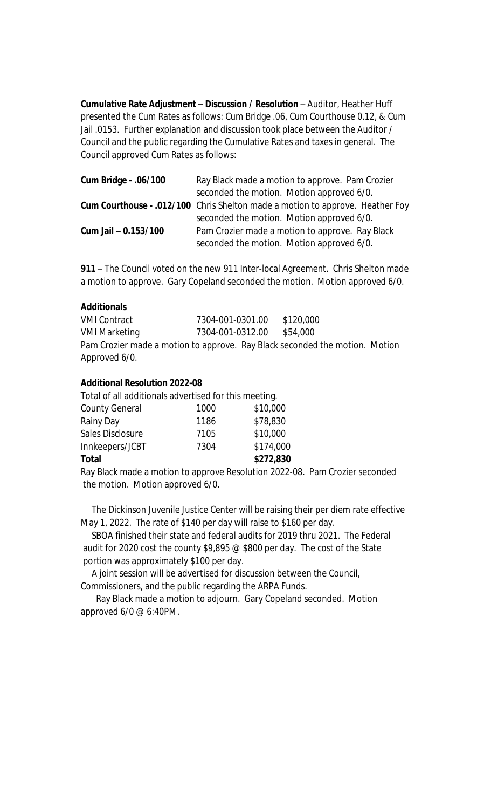**Cumulative Rate Adjustment – Discussion / Resolution** – Auditor, Heather Huff presented the Cum Rates as follows: Cum Bridge .06, Cum Courthouse 0.12, & Cum Jail .0153. Further explanation and discussion took place between the Auditor / Council and the public regarding the Cumulative Rates and taxes in general. The Council approved Cum Rates as follows:

| Cum Bridge - .06/100 | Ray Black made a motion to approve. Pam Crozier                               |
|----------------------|-------------------------------------------------------------------------------|
|                      | seconded the motion. Motion approved 6/0.                                     |
|                      | Cum Courthouse - .012/100 Chris Shelton made a motion to approve. Heather Foy |
|                      | seconded the motion. Motion approved 6/0.                                     |
| Cum Jail - 0.153/100 | Pam Crozier made a motion to approve. Ray Black                               |
|                      | seconded the motion. Motion approved 6/0.                                     |

**911** – The Council voted on the new 911 Inter-local Agreement. Chris Shelton made a motion to approve. Gary Copeland seconded the motion. Motion approved 6/0.

## **Additionals**

VMI Contract 7304-001-0301.00 \$120,000 VMI Marketing 7304-001-0312.00 \$54,000 Pam Crozier made a motion to approve. Ray Black seconded the motion. Motion Approved 6/0.

## **Additional Resolution 2022-08**

Total of all additionals advertised for this meeting. County General 1000 \$10,000 Rainy Day 1186 \$78,830 Sales Disclosure 7105 \$10,000 Innkeepers/JCBT 7304 \$174,000 **Total \$272,830**

Ray Black made a motion to approve Resolution 2022-08. Pam Crozier seconded the motion. Motion approved 6/0.

 The Dickinson Juvenile Justice Center will be raising their per diem rate effective May 1, 2022. The rate of \$140 per day will raise to \$160 per day.

 SBOA finished their state and federal audits for 2019 thru 2021. The Federal audit for 2020 cost the county \$9,895 @ \$800 per day. The cost of the State portion was approximately \$100 per day.

A joint session will be advertised for discussion between the Council,

Commissioners, and the public regarding the ARPA Funds.

 Ray Black made a motion to adjourn. Gary Copeland seconded. Motion approved 6/0 @ 6:40PM.